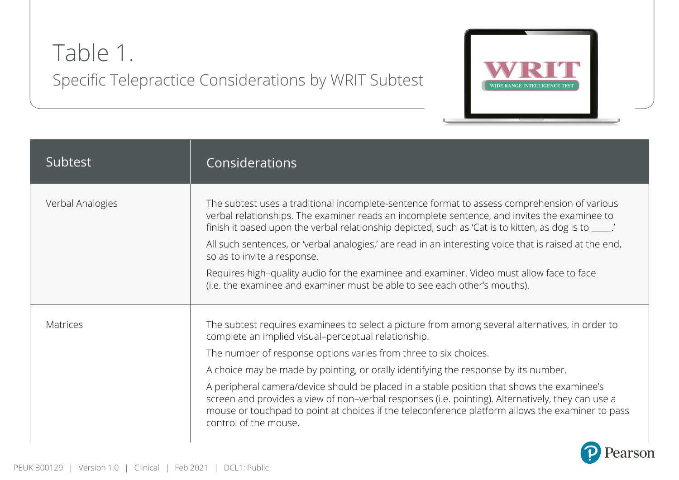## Table 1. Specific Telepractice Considerations by WRIT Subtest



| Subtest          | Considerations                                                                                                                                                                                                                                                                                                                                                                                                                                                                                                                                                                                                                                    |
|------------------|---------------------------------------------------------------------------------------------------------------------------------------------------------------------------------------------------------------------------------------------------------------------------------------------------------------------------------------------------------------------------------------------------------------------------------------------------------------------------------------------------------------------------------------------------------------------------------------------------------------------------------------------------|
| Verbal Analogies | The subtest uses a traditional incomplete-sentence format to assess comprehension of various<br>verbal relationships. The examiner reads an incomplete sentence, and invites the examinee to<br>finish it based upon the verbal relationship depicted, such as 'Cat is to kitten, as dog is to ____.'<br>All such sentences, or 'verbal analogies,' are read in an interesting voice that is raised at the end,<br>so as to invite a response.<br>Requires high-quality audio for the examinee and examiner. Video must allow face to face<br>(i.e. the examinee and examiner must be able to see each other's mouths).                           |
| <b>Matrices</b>  | The subtest requires examinees to select a picture from among several alternatives, in order to<br>complete an implied visual-perceptual relationship.<br>The number of response options varies from three to six choices.<br>A choice may be made by pointing, or orally identifying the response by its number.<br>A peripheral camera/device should be placed in a stable position that shows the examinee's<br>screen and provides a view of non-verbal responses (i.e. pointing). Alternatively, they can use a<br>mouse or touchpad to point at choices if the teleconference platform allows the examiner to pass<br>control of the mouse. |